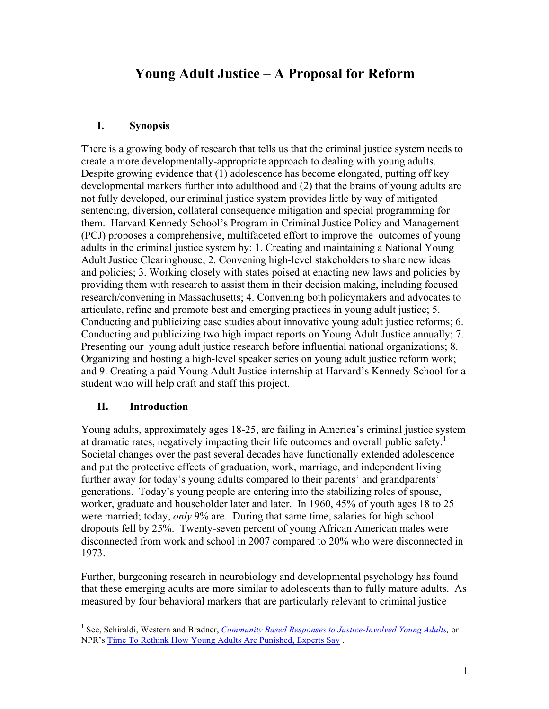# **Young Adult Justice – A Proposal for Reform**

#### **I. Synopsis**

There is a growing body of research that tells us that the criminal justice system needs to create a more developmentally-appropriate approach to dealing with young adults. Despite growing evidence that (1) adolescence has become elongated, putting off key developmental markers further into adulthood and (2) that the brains of young adults are not fully developed, our criminal justice system provides little by way of mitigated sentencing, diversion, collateral consequence mitigation and special programming for them. Harvard Kennedy School's Program in Criminal Justice Policy and Management (PCJ) proposes a comprehensive, multifaceted effort to improve the outcomes of young adults in the criminal justice system by: 1. Creating and maintaining a National Young Adult Justice Clearinghouse; 2. Convening high-level stakeholders to share new ideas and policies; 3. Working closely with states poised at enacting new laws and policies by providing them with research to assist them in their decision making, including focused research/convening in Massachusetts; 4. Convening both policymakers and advocates to articulate, refine and promote best and emerging practices in young adult justice; 5. Conducting and publicizing case studies about innovative young adult justice reforms; 6. Conducting and publicizing two high impact reports on Young Adult Justice annually; 7. Presenting our young adult justice research before influential national organizations; 8. Organizing and hosting a high-level speaker series on young adult justice reform work; and 9. Creating a paid Young Adult Justice internship at Harvard's Kennedy School for a student who will help craft and staff this project.

#### **II. Introduction**

Young adults, approximately ages 18-25, are failing in America's criminal justice system at dramatic rates, negatively impacting their life outcomes and overall public safety.<sup>1</sup> Societal changes over the past several decades have functionally extended adolescence and put the protective effects of graduation, work, marriage, and independent living further away for today's young adults compared to their parents' and grandparents' generations. Today's young people are entering into the stabilizing roles of spouse, worker, graduate and householder later and later. In 1960, 45% of youth ages 18 to 25 were married; today, *only* 9% are. During that same time, salaries for high school dropouts fell by 25%. Twenty-seven percent of young African American males were disconnected from work and school in 2007 compared to 20% who were disconnected in 1973.

Further, burgeoning research in neurobiology and developmental psychology has found that these emerging adults are more similar to adolescents than to fully mature adults. As measured by four behavioral markers that are particularly relevant to criminal justice

<sup>&</sup>lt;sup>1</sup> See, Schiraldi, Western and Bradner, *Community Based Responses to Justice-Involved Young Adults,* or NPR's Time To Rethink How Young Adults Are Punished, Experts Say .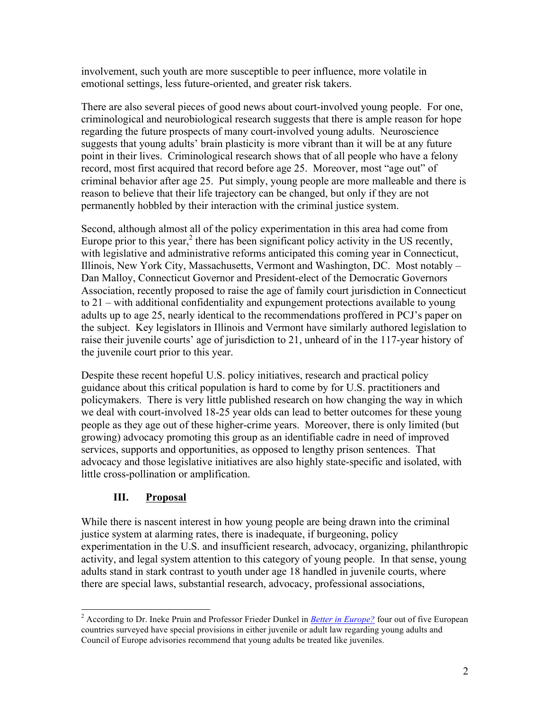involvement, such youth are more susceptible to peer influence, more volatile in emotional settings, less future-oriented, and greater risk takers.

There are also several pieces of good news about court-involved young people. For one, criminological and neurobiological research suggests that there is ample reason for hope regarding the future prospects of many court-involved young adults. Neuroscience suggests that young adults' brain plasticity is more vibrant than it will be at any future point in their lives. Criminological research shows that of all people who have a felony record, most first acquired that record before age 25. Moreover, most "age out" of criminal behavior after age 25. Put simply, young people are more malleable and there is reason to believe that their life trajectory can be changed, but only if they are not permanently hobbled by their interaction with the criminal justice system.

Second, although almost all of the policy experimentation in this area had come from Europe prior to this year, $\frac{2}{3}$  there has been significant policy activity in the US recently, with legislative and administrative reforms anticipated this coming year in Connecticut, Illinois, New York City, Massachusetts, Vermont and Washington, DC. Most notably – Dan Malloy, Connecticut Governor and President-elect of the Democratic Governors Association, recently proposed to raise the age of family court jurisdiction in Connecticut to 21 – with additional confidentiality and expungement protections available to young adults up to age 25, nearly identical to the recommendations proffered in PCJ's paper on the subject. Key legislators in Illinois and Vermont have similarly authored legislation to raise their juvenile courts' age of jurisdiction to 21, unheard of in the 117-year history of the juvenile court prior to this year.

Despite these recent hopeful U.S. policy initiatives, research and practical policy guidance about this critical population is hard to come by for U.S. practitioners and policymakers. There is very little published research on how changing the way in which we deal with court-involved 18-25 year olds can lead to better outcomes for these young people as they age out of these higher-crime years. Moreover, there is only limited (but growing) advocacy promoting this group as an identifiable cadre in need of improved services, supports and opportunities, as opposed to lengthy prison sentences. That advocacy and those legislative initiatives are also highly state-specific and isolated, with little cross-pollination or amplification.

#### **III. Proposal**

While there is nascent interest in how young people are being drawn into the criminal justice system at alarming rates, there is inadequate, if burgeoning, policy experimentation in the U.S. and insufficient research, advocacy, organizing, philanthropic activity, and legal system attention to this category of young people. In that sense, young adults stand in stark contrast to youth under age 18 handled in juvenile courts, where there are special laws, substantial research, advocacy, professional associations,

<sup>&</sup>lt;sup>2</sup> According to Dr. Ineke Pruin and Professor Frieder Dunkel in *Better in Europe*? four out of five European countries surveyed have special provisions in either juvenile or adult law regarding young adults and Council of Europe advisories recommend that young adults be treated like juveniles.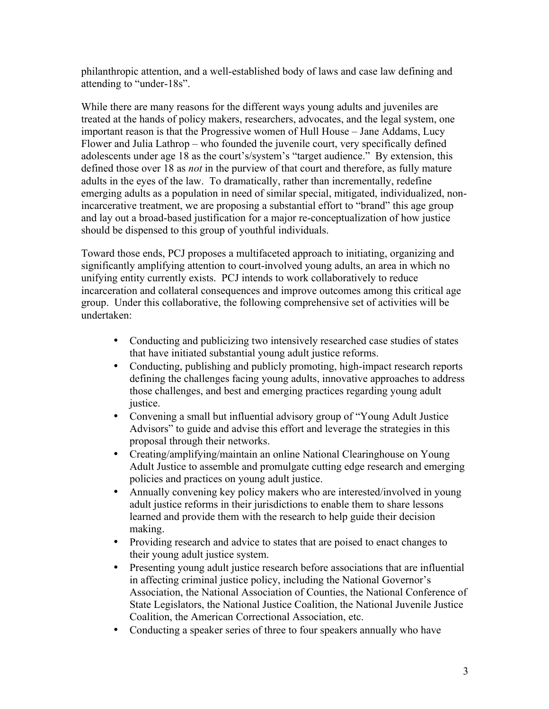philanthropic attention, and a well-established body of laws and case law defining and attending to "under-18s".

While there are many reasons for the different ways young adults and juveniles are treated at the hands of policy makers, researchers, advocates, and the legal system, one important reason is that the Progressive women of Hull House – Jane Addams, Lucy Flower and Julia Lathrop – who founded the juvenile court, very specifically defined adolescents under age 18 as the court's/system's "target audience." By extension, this defined those over 18 as *not* in the purview of that court and therefore, as fully mature adults in the eyes of the law. To dramatically, rather than incrementally, redefine emerging adults as a population in need of similar special, mitigated, individualized, nonincarcerative treatment, we are proposing a substantial effort to "brand" this age group and lay out a broad-based justification for a major re-conceptualization of how justice should be dispensed to this group of youthful individuals.

Toward those ends, PCJ proposes a multifaceted approach to initiating, organizing and significantly amplifying attention to court-involved young adults, an area in which no unifying entity currently exists. PCJ intends to work collaboratively to reduce incarceration and collateral consequences and improve outcomes among this critical age group. Under this collaborative, the following comprehensive set of activities will be undertaken:

- Conducting and publicizing two intensively researched case studies of states that have initiated substantial young adult justice reforms.
- Conducting, publishing and publicly promoting, high-impact research reports defining the challenges facing young adults, innovative approaches to address those challenges, and best and emerging practices regarding young adult justice.
- Convening a small but influential advisory group of "Young Adult Justice Advisors" to guide and advise this effort and leverage the strategies in this proposal through their networks.
- Creating/amplifying/maintain an online National Clearinghouse on Young Adult Justice to assemble and promulgate cutting edge research and emerging policies and practices on young adult justice.
- Annually convening key policy makers who are interested/involved in young adult justice reforms in their jurisdictions to enable them to share lessons learned and provide them with the research to help guide their decision making.
- Providing research and advice to states that are poised to enact changes to their young adult justice system.
- Presenting young adult justice research before associations that are influential in affecting criminal justice policy, including the National Governor's Association, the National Association of Counties, the National Conference of State Legislators, the National Justice Coalition, the National Juvenile Justice Coalition, the American Correctional Association, etc.
- Conducting a speaker series of three to four speakers annually who have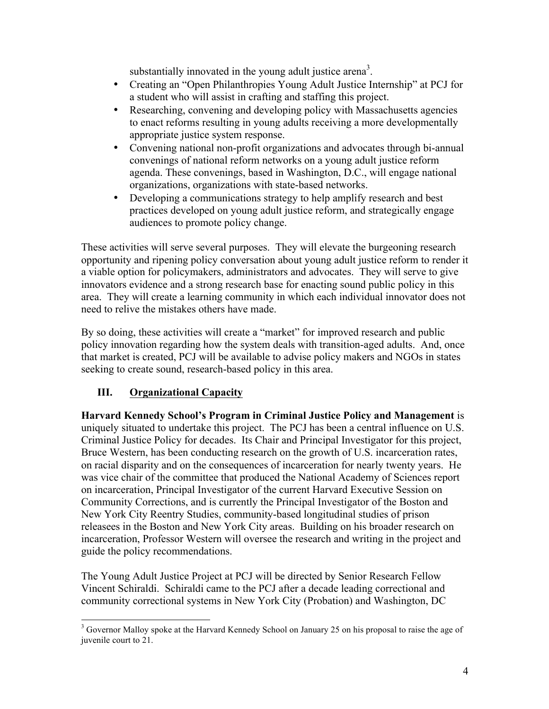substantially innovated in the young adult justice arena<sup>3</sup>.

- Creating an "Open Philanthropies Young Adult Justice Internship" at PCJ for a student who will assist in crafting and staffing this project.
- Researching, convening and developing policy with Massachusetts agencies to enact reforms resulting in young adults receiving a more developmentally appropriate justice system response.
- Convening national non-profit organizations and advocates through bi-annual convenings of national reform networks on a young adult justice reform agenda. These convenings, based in Washington, D.C., will engage national organizations, organizations with state-based networks.
- Developing a communications strategy to help amplify research and best practices developed on young adult justice reform, and strategically engage audiences to promote policy change.

These activities will serve several purposes. They will elevate the burgeoning research opportunity and ripening policy conversation about young adult justice reform to render it a viable option for policymakers, administrators and advocates. They will serve to give innovators evidence and a strong research base for enacting sound public policy in this area. They will create a learning community in which each individual innovator does not need to relive the mistakes others have made.

By so doing, these activities will create a "market" for improved research and public policy innovation regarding how the system deals with transition-aged adults. And, once that market is created, PCJ will be available to advise policy makers and NGOs in states seeking to create sound, research-based policy in this area.

### **III. Organizational Capacity**

**Harvard Kennedy School's Program in Criminal Justice Policy and Management** is uniquely situated to undertake this project. The PCJ has been a central influence on U.S. Criminal Justice Policy for decades. Its Chair and Principal Investigator for this project, Bruce Western, has been conducting research on the growth of U.S. incarceration rates, on racial disparity and on the consequences of incarceration for nearly twenty years. He was vice chair of the committee that produced the National Academy of Sciences report on incarceration, Principal Investigator of the current Harvard Executive Session on Community Corrections, and is currently the Principal Investigator of the Boston and New York City Reentry Studies, community-based longitudinal studies of prison releasees in the Boston and New York City areas. Building on his broader research on incarceration, Professor Western will oversee the research and writing in the project and guide the policy recommendations.

The Young Adult Justice Project at PCJ will be directed by Senior Research Fellow Vincent Schiraldi. Schiraldi came to the PCJ after a decade leading correctional and community correctional systems in New York City (Probation) and Washington, DC

 <sup>3</sup> Governor Malloy spoke at the Harvard Kennedy School on January 25 on his proposal to raise the age of juvenile court to 21.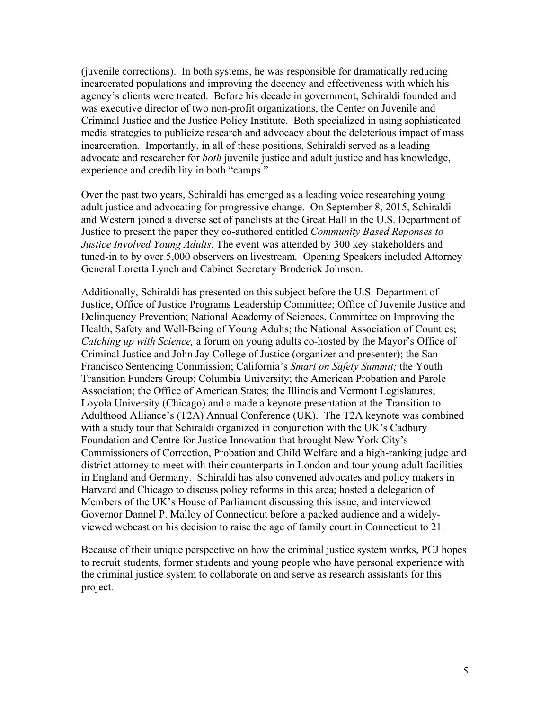(juvenile corrections). In both systems, he was responsible for dramatically reducing incarcerated populations and improving the decency and effectiveness with which his agency's clients were treated. Before his decade in government, Schiraldi founded and was executive director of two non-profit organizations, the Center on Juvenile and Criminal Justice and the Justice Policy Institute. Both specialized in using sophisticated media strategies to publicize research and advocacy about the deleterious impact of mass incarceration. Importantly, in all of these positions, Schiraldi served as a leading advocate and researcher for *both* juvenile justice and adult justice and has knowledge, experience and credibility in both "camps."

Over the past two years, Schiraldi has emerged as a leading voice researching young adult justice and advocating for progressive change. On September 8, 2015, Schiraldi and Western joined a diverse set of panelists at the Great Hall in the U.S. Department of Justice to present the paper they co-authored entitled *Community Based Reponses to Justice Involved Young Adults*. The event was attended by 300 key stakeholders and tuned-in to by over 5,000 observers on livestream*.* Opening Speakers included Attorney General Loretta Lynch and Cabinet Secretary Broderick Johnson.

Additionally, Schiraldi has presented on this subject before the U.S. Department of Justice, Office of Justice Programs Leadership Committee; Office of Juvenile Justice and Delinquency Prevention; National Academy of Sciences, Committee on Improving the Health, Safety and Well-Being of Young Adults; the National Association of Counties; *Catching up with Science,* a forum on young adults co-hosted by the Mayor's Office of Criminal Justice and John Jay College of Justice (organizer and presenter); the San Francisco Sentencing Commission; California's *Smart on Safety Summit;* the Youth Transition Funders Group; Columbia University; the American Probation and Parole Association; the Office of American States; the Illinois and Vermont Legislatures; Loyola University (Chicago) and a made a keynote presentation at the Transition to Adulthood Alliance's (T2A) Annual Conference (UK). The T2A keynote was combined with a study tour that Schiraldi organized in conjunction with the UK's Cadbury Foundation and Centre for Justice Innovation that brought New York City's Commissioners of Correction, Probation and Child Welfare and a high-ranking judge and district attorney to meet with their counterparts in London and tour young adult facilities in England and Germany. Schiraldi has also convened advocates and policy makers in Harvard and Chicago to discuss policy reforms in this area; hosted a delegation of Members of the UK's House of Parliament discussing this issue, and interviewed Governor Dannel P. Malloy of Connecticut before a packed audience and a widelyviewed webcast on his decision to raise the age of family court in Connecticut to 21.

Because of their unique perspective on how the criminal justice system works, PCJ hopes to recruit students, former students and young people who have personal experience with the criminal justice system to collaborate on and serve as research assistants for this project.